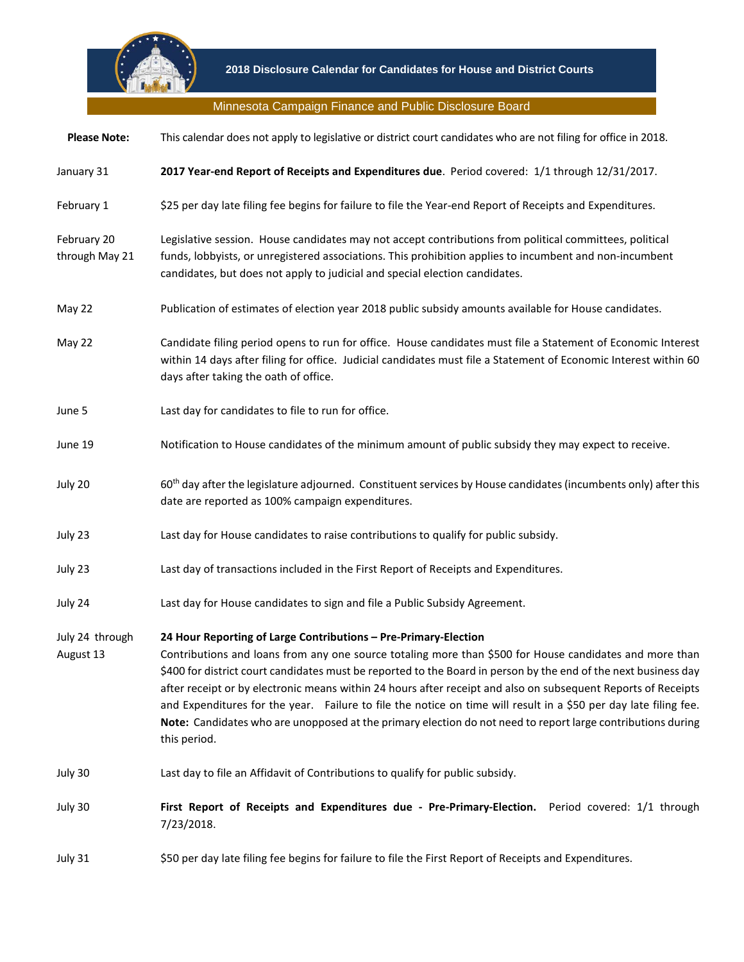

## Minnesota Campaign Finance and Public Disclosure Board

| <b>Please Note:</b>           | This calendar does not apply to legislative or district court candidates who are not filing for office in 2018.                                                                                                                                                                                                                                                                                                                                                                                                                                                                                                                                                   |
|-------------------------------|-------------------------------------------------------------------------------------------------------------------------------------------------------------------------------------------------------------------------------------------------------------------------------------------------------------------------------------------------------------------------------------------------------------------------------------------------------------------------------------------------------------------------------------------------------------------------------------------------------------------------------------------------------------------|
| January 31                    | 2017 Year-end Report of Receipts and Expenditures due. Period covered: 1/1 through 12/31/2017.                                                                                                                                                                                                                                                                                                                                                                                                                                                                                                                                                                    |
| February 1                    | \$25 per day late filing fee begins for failure to file the Year-end Report of Receipts and Expenditures.                                                                                                                                                                                                                                                                                                                                                                                                                                                                                                                                                         |
| February 20<br>through May 21 | Legislative session. House candidates may not accept contributions from political committees, political<br>funds, lobbyists, or unregistered associations. This prohibition applies to incumbent and non-incumbent<br>candidates, but does not apply to judicial and special election candidates.                                                                                                                                                                                                                                                                                                                                                                 |
| May 22                        | Publication of estimates of election year 2018 public subsidy amounts available for House candidates.                                                                                                                                                                                                                                                                                                                                                                                                                                                                                                                                                             |
| May 22                        | Candidate filing period opens to run for office. House candidates must file a Statement of Economic Interest<br>within 14 days after filing for office. Judicial candidates must file a Statement of Economic Interest within 60<br>days after taking the oath of office.                                                                                                                                                                                                                                                                                                                                                                                         |
| June 5                        | Last day for candidates to file to run for office.                                                                                                                                                                                                                                                                                                                                                                                                                                                                                                                                                                                                                |
| June 19                       | Notification to House candidates of the minimum amount of public subsidy they may expect to receive.                                                                                                                                                                                                                                                                                                                                                                                                                                                                                                                                                              |
| July 20                       | 60 <sup>th</sup> day after the legislature adjourned. Constituent services by House candidates (incumbents only) after this<br>date are reported as 100% campaign expenditures.                                                                                                                                                                                                                                                                                                                                                                                                                                                                                   |
| July 23                       | Last day for House candidates to raise contributions to qualify for public subsidy.                                                                                                                                                                                                                                                                                                                                                                                                                                                                                                                                                                               |
| July 23                       | Last day of transactions included in the First Report of Receipts and Expenditures.                                                                                                                                                                                                                                                                                                                                                                                                                                                                                                                                                                               |
| July 24                       | Last day for House candidates to sign and file a Public Subsidy Agreement.                                                                                                                                                                                                                                                                                                                                                                                                                                                                                                                                                                                        |
| July 24 through<br>August 13  | 24 Hour Reporting of Large Contributions - Pre-Primary-Election<br>Contributions and loans from any one source totaling more than \$500 for House candidates and more than<br>\$400 for district court candidates must be reported to the Board in person by the end of the next business day<br>after receipt or by electronic means within 24 hours after receipt and also on subsequent Reports of Receipts<br>and Expenditures for the year. Failure to file the notice on time will result in a \$50 per day late filing fee.<br>Note: Candidates who are unopposed at the primary election do not need to report large contributions during<br>this period. |
| July 30                       | Last day to file an Affidavit of Contributions to qualify for public subsidy.                                                                                                                                                                                                                                                                                                                                                                                                                                                                                                                                                                                     |
| July 30                       | First Report of Receipts and Expenditures due - Pre-Primary-Election. Period covered: 1/1 through<br>7/23/2018.                                                                                                                                                                                                                                                                                                                                                                                                                                                                                                                                                   |
| July 31                       | \$50 per day late filing fee begins for failure to file the First Report of Receipts and Expenditures.                                                                                                                                                                                                                                                                                                                                                                                                                                                                                                                                                            |